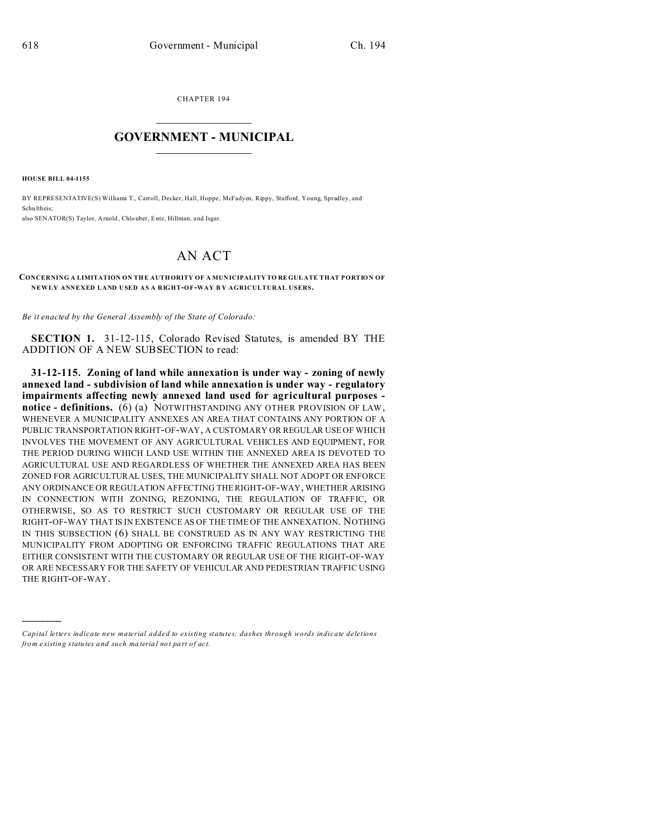CHAPTER 194  $\overline{\phantom{a}}$  , where  $\overline{\phantom{a}}$ 

## **GOVERNMENT - MUNICIPAL**  $\_$   $\_$

**HOUSE BILL 04-1155**

)))))

BY REPRESENTATIVE(S) Williams T., Carroll, Decker, Hall, Hoppe, McFadyen, Rippy, Stafford, Young, Spradley, and Schu ltheis; also SENATOR(S) Taylor, Arnold , Chlouber, Entz, Hillman, and Isgar.

## AN ACT

## **CONCERNING A LIMITATION ON TH E AUTH ORITY OF A MUN ICIPALITY TO RE GUL ATE THAT PORTION OF NEWLY ANNEXED LAND USED AS A RIGHT-OF-WAY B Y AGRICULTURAL USERS.**

*Be it enacted by the General Assembly of the State of Colorado:*

**SECTION 1.** 31-12-115, Colorado Revised Statutes, is amended BY THE ADDITION OF A NEW SUBSECTION to read:

**31-12-115. Zoning of land while annexation is under way - zoning of newly annexed land - subdivision of land while annexation is under way - regulatory impairments affecting newly annexed land used for agricultural purposes notice - definitions.** (6) (a) NOTWITHSTANDING ANY OTHER PROVISION OF LAW, WHENEVER A MUNICIPALITY ANNEXES AN AREA THAT CONTAINS ANY PORTION OF A PUBLIC TRANSPORTATION RIGHT-OF-WAY, A CUSTOMARY OR REGULAR USE OF WHICH INVOLVES THE MOVEMENT OF ANY AGRICULTURAL VEHICLES AND EQUIPMENT, FOR THE PERIOD DURING WHICH LAND USE WITHIN THE ANNEXED AREA IS DEVOTED TO AGRICULTURAL USE AND REGARDLESS OF WHETHER THE ANNEXED AREA HAS BEEN ZONED FOR AGRICULTURAL USES, THE MUNICIPALITY SHALL NOT ADOPT OR ENFORCE ANY ORDINANCE OR REGULATION AFFECTING THE RIGHT-OF-WAY, WHETHER ARISING IN CONNECTION WITH ZONING, REZONING, THE REGULATION OF TRAFFIC, OR OTHERWISE, SO AS TO RESTRICT SUCH CUSTOMARY OR REGULAR USE OF THE RIGHT-OF-WAY THAT IS IN EXISTENCE AS OF THE TIME OF THE ANNEXATION. NOTHING IN THIS SUBSECTION (6) SHALL BE CONSTRUED AS IN ANY WAY RESTRICTING THE MUNICIPALITY FROM ADOPTING OR ENFORCING TRAFFIC REGULATIONS THAT ARE EITHER CONSISTENT WITH THE CUSTOMARY OR REGULAR USE OF THE RIGHT-OF-WAY OR ARE NECESSARY FOR THE SAFETY OF VEHICULAR AND PEDESTRIAN TRAFFIC USING THE RIGHT-OF-WAY.

*Capital letters indicate new material added to existing statutes; dashes through words indicate deletions from e xistin g statu tes a nd such ma teria l no t pa rt of ac t.*